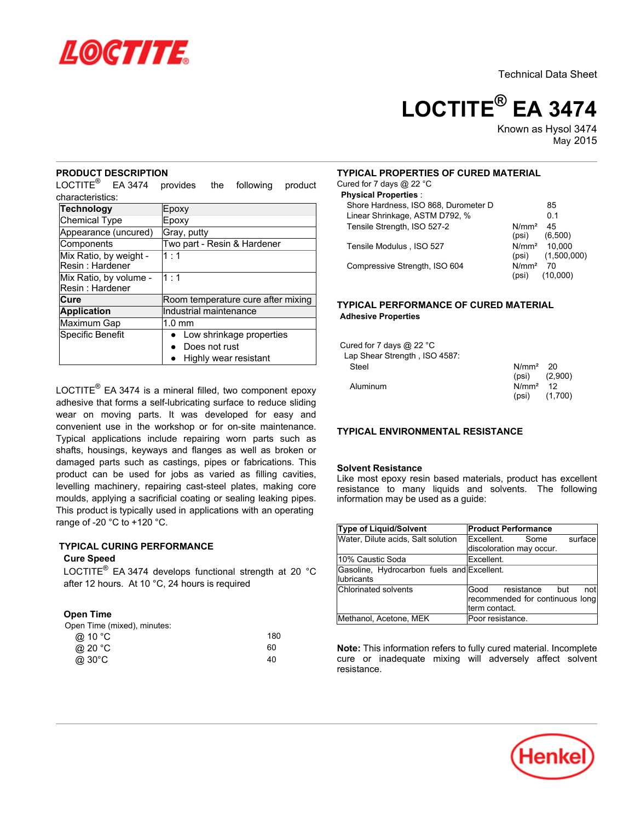

Technical Data Sheet

# **LOCTITE® EA 3474**

Known as Hysol 3474 May-2015

# **PRODUCT DESCRIPTION**

LOCTITE<sup>®</sup> EA 3474 provides the following product characteristics:

| <b>Technology</b>                         | Epoxy                              |
|-------------------------------------------|------------------------------------|
| <b>Chemical Type</b>                      | Epoxy                              |
| Appearance (uncured)                      | Gray, putty                        |
| Components                                | Two part - Resin & Hardener        |
| Mix Ratio, by weight -<br>Resin: Hardener | 1:1                                |
| Mix Ratio, by volume -<br>Resin: Hardener | 1:1                                |
| Cure                                      | Room temperature cure after mixing |
| <b>Application</b>                        | Industrial maintenance             |
| Maximum Gap                               | $1.0 \text{ mm}$                   |
| Specific Benefit                          | Low shrinkage properties           |
|                                           | Does not rust                      |
|                                           | Highly wear resistant              |

LOCTITE<sup>®</sup> EA 3474 is a mineral filled, two component epoxy adhesive that forms a self-lubricating surface to reduce sliding wear on moving parts. It was developed for easy and convenient use in the workshop or for on-site maintenance. Typical applications include repairing worn parts such as shafts, housings, keyways and flanges as well as broken or damaged parts such as castings, pipes or fabrications. This product can be used for jobs as varied as filling cavities, levelling machinery, repairing cast-steel plates, making core moulds, applying a sacrificial coating or sealing leaking pipes. This product is typically used in applications with an operating range of -20 $^{\circ}$ C to +120 $^{\circ}$ C.

# **TYPICAL CURING PERFORMANCE**

### **Cure Speed**

LOCTITE<sup>®</sup> EA 3474 develops functional strength at 20 °C after 12 hours. At 10 °C, 24 hours is required

# **Open Time**

| Open Time (mixed), minutes: |     |
|-----------------------------|-----|
| @ 10 °C                     | 180 |
| @ 20 °C                     | 60  |
| @ 30°C                      | 40  |
|                             |     |

# **TYPICAL PROPERTIES OF CURED MATERIAL**

Cured for 7 days @ 22 °C

| <b>Physical Properties:</b>          |                            |                                         |
|--------------------------------------|----------------------------|-----------------------------------------|
| Shore Hardness, ISO 868, Durometer D |                            | 85                                      |
| Linear Shrinkage, ASTM D792, %       |                            | 0 1                                     |
| Tensile Strength, ISO 527-2          | N/mm <sup>2</sup><br>(psi) | 45<br>(6,500)                           |
| Tensile Modulus, ISO 527             | (psi)                      | N/mm <sup>2</sup> 10.000<br>(1,500,000) |
| Compressive Strength, ISO 604        | N/mm <sup>2</sup><br>(psi) | 70<br>(10,000)                          |

# **TYPICAL PERFORMANCE OF CURED MATERIAL Adhesive Properties**

| Cured for 7 days @ 22 $^{\circ}$ C |                      |                   |
|------------------------------------|----------------------|-------------------|
| Lap Shear Strength, ISO 4587:      |                      |                   |
| Steel                              | N/mm <sup>2</sup> 20 |                   |
|                                    |                      | $(psi)$ $(2,900)$ |
| Aluminum                           | $N/mm2$ 12           |                   |
|                                    | (psi)                | (1,700)           |

### **TYPICAL ENVIRONMENTAL RESISTANCE**

#### **Solvent Resistance**

Like most epoxy resin based materials, product has excellent resistance to many liquids and solvents. The following information may be used as a guide:

| <b>Type of Liquid/Solvent</b>                             | <b>Product Performance</b>                                                      |
|-----------------------------------------------------------|---------------------------------------------------------------------------------|
| Water, Dilute acids, Salt solution                        | Excellent.<br>surface<br>Some<br>discoloration may occur.                       |
| l10% Caustic Soda                                         | Excellent.                                                                      |
| Gasoline, Hydrocarbon fuels and Excellent.<br>llubricants |                                                                                 |
| Chlorinated solvents                                      | Good resistance but<br>notl<br>recommended for continuous long<br>term contact. |
| Methanol, Acetone, MEK                                    | Poor resistance.                                                                |

**Note:** This information refers to fully cured material. Incomplete cure or inadequate mixing will adversely affect solvent resistance.